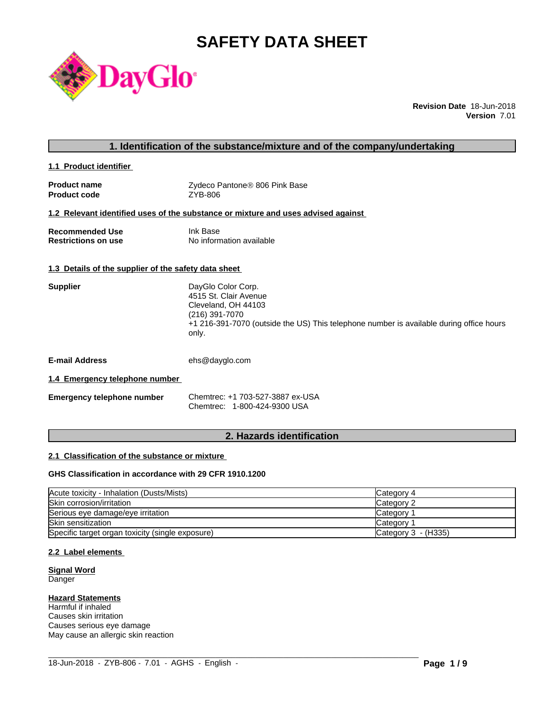# **SAFETY DATA SHEET**



**Revision Date** 18-Jun-2018 **Version** 7.01

# **1. Identification of the substance/mixture and of the company/undertaking**

**1.1 Product identifier** 

| <b>Product name</b> | Zydeco Pantone® 806 Pink Base |
|---------------------|-------------------------------|
| <b>Product code</b> | ZYB-806                       |

#### **1.2 Relevant identified uses of the substance or mixture and uses advised against**

| <b>Recommended Use</b>     | Ink Base                 |
|----------------------------|--------------------------|
| <b>Restrictions on use</b> | No information available |

#### **1.3 Details of the supplier of the safety data sheet**

| <b>Supplier</b> | DayGlo Color Corp.<br>4515 St. Clair Avenue<br>Cleveland, OH 44103<br>(216) 391-7070<br>+1 216-391-7070 (outside the US) This telephone number is available during office hours<br>only. |
|-----------------|------------------------------------------------------------------------------------------------------------------------------------------------------------------------------------------|
|                 |                                                                                                                                                                                          |

**E-mail Address** ehs@dayglo.com

#### **1.4 Emergency telephone number**

| <b>Emergency telephone number</b> | Chemtrec: +1 703-527-3887 ex-USA |
|-----------------------------------|----------------------------------|
|                                   | Chemtrec: 1-800-424-9300 USA     |

# **2. Hazards identification**

#### **2.1 Classification of the substance or mixture**

#### **GHS Classification in accordance with 29 CFR 1910.1200**

| Acute toxicity - Inhalation (Dusts/Mists)        | Category 4          |
|--------------------------------------------------|---------------------|
| Skin corrosion/irritation                        | Category 2          |
| Serious eye damage/eye irritation                | <b>Category</b>     |
| <b>Skin sensitization</b>                        | <b>Category</b>     |
| Specific target organ toxicity (single exposure) | Category 3 - (H335) |

 $\_$  ,  $\_$  ,  $\_$  ,  $\_$  ,  $\_$  ,  $\_$  ,  $\_$  ,  $\_$  ,  $\_$  ,  $\_$  ,  $\_$  ,  $\_$  ,  $\_$  ,  $\_$  ,  $\_$  ,  $\_$  ,  $\_$  ,  $\_$  ,  $\_$  ,  $\_$  ,  $\_$  ,  $\_$  ,  $\_$  ,  $\_$  ,  $\_$  ,  $\_$  ,  $\_$  ,  $\_$  ,  $\_$  ,  $\_$  ,  $\_$  ,  $\_$  ,  $\_$  ,  $\_$  ,  $\_$  ,  $\_$  ,  $\_$  ,

#### **2.2 Label elements**

#### **Signal Word** Danger

#### **Hazard Statements**

Harmful if inhaled Causes skin irritation Causes serious eye damage May cause an allergic skin reaction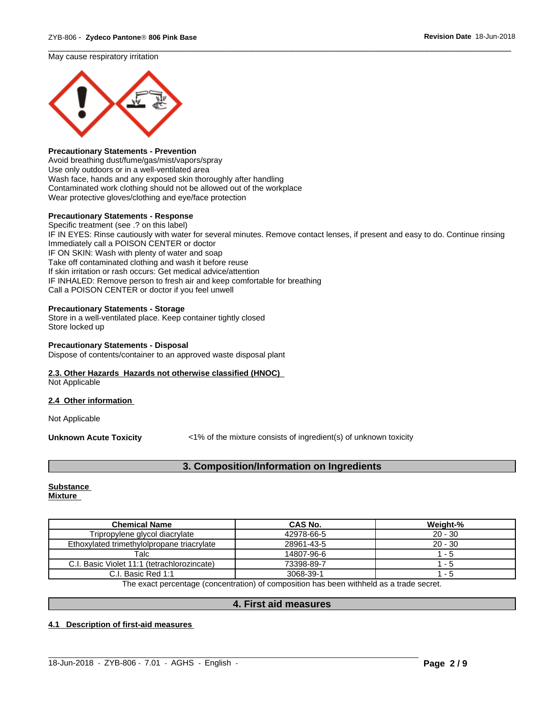May cause respiratory irritation



#### **Precautionary Statements - Prevention**

Avoid breathing dust/fume/gas/mist/vapors/spray Use only outdoors or in a well-ventilated area Wash face, hands and any exposed skin thoroughly after handling Contaminated work clothing should not be allowed out of the workplace Wear protective gloves/clothing and eye/face protection

#### **Precautionary Statements - Response**

Specific treatment (see .? on this label) IF IN EYES: Rinse cautiously with water for several minutes. Remove contact lenses, if present and easy to do. Continue rinsing Immediately call a POISON CENTER or doctor IF ON SKIN: Wash with plenty of water and soap Take off contaminated clothing and wash it before reuse If skin irritation or rash occurs: Get medical advice/attention IF INHALED: Remove person to fresh air and keep comfortable for breathing Call a POISON CENTER or doctor if you feel unwell

 $\overline{\phantom{a}}$  ,  $\overline{\phantom{a}}$  ,  $\overline{\phantom{a}}$  ,  $\overline{\phantom{a}}$  ,  $\overline{\phantom{a}}$  ,  $\overline{\phantom{a}}$  ,  $\overline{\phantom{a}}$  ,  $\overline{\phantom{a}}$  ,  $\overline{\phantom{a}}$  ,  $\overline{\phantom{a}}$  ,  $\overline{\phantom{a}}$  ,  $\overline{\phantom{a}}$  ,  $\overline{\phantom{a}}$  ,  $\overline{\phantom{a}}$  ,  $\overline{\phantom{a}}$  ,  $\overline{\phantom{a}}$ 

#### **Precautionary Statements - Storage**

Store in a well-ventilated place. Keep container tightly closed Store locked up

# **Precautionary Statements - Disposal**

Dispose of contents/container to an approved waste disposal plant

### **2.3. Other Hazards Hazards not otherwise classified (HNOC)**

Not Applicable

#### **2.4 Other information**

Not Applicable

**Unknown Acute Toxicity** <1% of the mixture consists of ingredient(s) of unknown toxicity

# **3. Composition/Information on Ingredients**

#### **Substance Mixture**

| <b>Chemical Name</b>                        | CAS No.    | Weight-%  |
|---------------------------------------------|------------|-----------|
| Tripropylene glycol diacrylate              | 42978-66-5 | $20 - 30$ |
| Ethoxylated trimethylolpropane triacrylate  | 28961-43-5 | $20 - 30$ |
| Talc                                        | 14807-96-6 | - 5       |
| C.I. Basic Violet 11:1 (tetrachlorozincate) | 73398-89-7 | - 5       |
| C.I. Basic Red 1:1                          | 3068-39-1  | - 5       |

The exact percentage (concentration) of composition has been withheld as a trade secret.

#### **4. First aid measures**

 $\_$  ,  $\_$  ,  $\_$  ,  $\_$  ,  $\_$  ,  $\_$  ,  $\_$  ,  $\_$  ,  $\_$  ,  $\_$  ,  $\_$  ,  $\_$  ,  $\_$  ,  $\_$  ,  $\_$  ,  $\_$  ,  $\_$  ,  $\_$  ,  $\_$  ,  $\_$  ,  $\_$  ,  $\_$  ,  $\_$  ,  $\_$  ,  $\_$  ,  $\_$  ,  $\_$  ,  $\_$  ,  $\_$  ,  $\_$  ,  $\_$  ,  $\_$  ,  $\_$  ,  $\_$  ,  $\_$  ,  $\_$  ,  $\_$  ,

#### **4.1 Description of first-aid measures**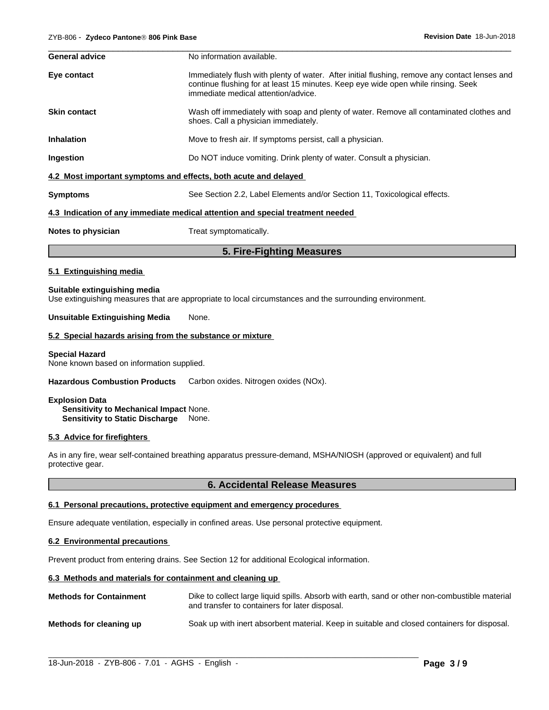| <b>General advice</b> | No information available.                                                                                                                                                                                                 |
|-----------------------|---------------------------------------------------------------------------------------------------------------------------------------------------------------------------------------------------------------------------|
| Eye contact           | Immediately flush with plenty of water. After initial flushing, remove any contact lenses and<br>continue flushing for at least 15 minutes. Keep eye wide open while rinsing. Seek<br>immediate medical attention/advice. |
| <b>Skin contact</b>   | Wash off immediately with soap and plenty of water. Remove all contaminated clothes and<br>shoes. Call a physician immediately.                                                                                           |
| <b>Inhalation</b>     | Move to fresh air. If symptoms persist, call a physician.                                                                                                                                                                 |
| Ingestion             | Do NOT induce vomiting. Drink plenty of water. Consult a physician.                                                                                                                                                       |
|                       | 4.2 Most important symptoms and effects, both acute and delayed                                                                                                                                                           |
| <b>Symptoms</b>       | See Section 2.2, Label Elements and/or Section 11, Toxicological effects.                                                                                                                                                 |
|                       | 4.3 Indication of any immediate medical attention and special treatment needed                                                                                                                                            |
|                       |                                                                                                                                                                                                                           |

#### **Notes to physician** Treat symptomatically.

# **5. Fire-Fighting Measures**

#### **5.1 Extinguishing media**

#### **Suitable extinguishing media**

Use extinguishing measures that are appropriate to local circumstances and the surrounding environment.

#### **Unsuitable Extinguishing Media** None.

#### **5.2 Special hazards arising from the substance or mixture**

#### **Special Hazard**

None known based on information supplied.

**Hazardous Combustion Products** Carbon oxides. Nitrogen oxides (NOx).

#### **Explosion Data**

**Sensitivity to Mechanical Impact** None. **Sensitivity to Static Discharge** None.

#### **5.3 Advice for firefighters**

As in any fire, wear self-contained breathing apparatus pressure-demand, MSHA/NIOSH (approved or equivalent) and full protective gear.

#### **6. Accidental Release Measures**

#### **6.1 Personal precautions, protective equipment and emergency procedures**

Ensure adequate ventilation, especially in confined areas. Use personal protective equipment.

#### **6.2 Environmental precautions**

Prevent product from entering drains. See Section 12 for additional Ecological information.

#### **6.3 Methods and materials for containment and cleaning up**

| <b>Methods for Containment</b> | Dike to collect large liquid spills. Absorb with earth, sand or other non-combustible material<br>and transfer to containers for later disposal. |
|--------------------------------|--------------------------------------------------------------------------------------------------------------------------------------------------|
| Methods for cleaning up        | Soak up with inert absorbent material. Keep in suitable and closed containers for disposal.                                                      |

 $\_$  ,  $\_$  ,  $\_$  ,  $\_$  ,  $\_$  ,  $\_$  ,  $\_$  ,  $\_$  ,  $\_$  ,  $\_$  ,  $\_$  ,  $\_$  ,  $\_$  ,  $\_$  ,  $\_$  ,  $\_$  ,  $\_$  ,  $\_$  ,  $\_$  ,  $\_$  ,  $\_$  ,  $\_$  ,  $\_$  ,  $\_$  ,  $\_$  ,  $\_$  ,  $\_$  ,  $\_$  ,  $\_$  ,  $\_$  ,  $\_$  ,  $\_$  ,  $\_$  ,  $\_$  ,  $\_$  ,  $\_$  ,  $\_$  ,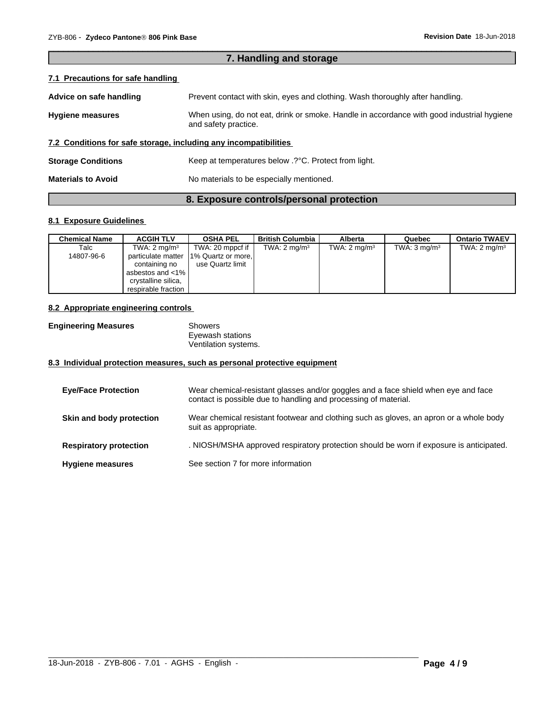| 7. Handling and storage                                                                                                                      |                                                                               |  |
|----------------------------------------------------------------------------------------------------------------------------------------------|-------------------------------------------------------------------------------|--|
| 7.1 Precautions for safe handling                                                                                                            |                                                                               |  |
| Advice on safe handling                                                                                                                      | Prevent contact with skin, eyes and clothing. Wash thoroughly after handling. |  |
| When using, do not eat, drink or smoke. Handle in accordance with good industrial hygiene<br><b>Hygiene measures</b><br>and safety practice. |                                                                               |  |
|                                                                                                                                              | 7.2 Conditions for safe storage, including any incompatibilities              |  |
| <b>Storage Conditions</b>                                                                                                                    | Keep at temperatures below .? °C. Protect from light.                         |  |
| <b>Materials to Avoid</b>                                                                                                                    | No materials to be especially mentioned.                                      |  |
|                                                                                                                                              |                                                                               |  |

 $\overline{\phantom{a}}$  ,  $\overline{\phantom{a}}$  ,  $\overline{\phantom{a}}$  ,  $\overline{\phantom{a}}$  ,  $\overline{\phantom{a}}$  ,  $\overline{\phantom{a}}$  ,  $\overline{\phantom{a}}$  ,  $\overline{\phantom{a}}$  ,  $\overline{\phantom{a}}$  ,  $\overline{\phantom{a}}$  ,  $\overline{\phantom{a}}$  ,  $\overline{\phantom{a}}$  ,  $\overline{\phantom{a}}$  ,  $\overline{\phantom{a}}$  ,  $\overline{\phantom{a}}$  ,  $\overline{\phantom{a}}$ 

# **8. Exposure controls/personal protection**

# **8.1 Exposure Guidelines**

| <b>Chemical Name</b> | <b>ACGIH TLV</b>        | <b>OSHA PEL</b>          | <b>British Columbia</b> | Alberta                 | Quebec                  | <b>Ontario TWAEV</b>    |
|----------------------|-------------------------|--------------------------|-------------------------|-------------------------|-------------------------|-------------------------|
| Talc                 | TWA: $2 \text{ mg/m}^3$ | TWA: 20 mppcf if $\vert$ | TWA: $2 \text{ mg/m}^3$ | TWA: $2 \text{ mg/m}^3$ | TWA: $3 \text{ mg/m}^3$ | TWA: $2 \text{ mg/m}^3$ |
| 14807-96-6           | particulate matter      | 1% Quartz or more,       |                         |                         |                         |                         |
|                      | containing no           | use Quartz limit         |                         |                         |                         |                         |
|                      | asbestos and <1%        |                          |                         |                         |                         |                         |
|                      | crystalline silica,     |                          |                         |                         |                         |                         |
|                      | respirable fraction I   |                          |                         |                         |                         |                         |

#### **8.2 Appropriate engineering controls**

| <b>Engineering Measures</b> | Showers              |
|-----------------------------|----------------------|
|                             | Eyewash stations     |
|                             | Ventilation systems. |

# **8.3 Individual protection measures, such as personal protective equipment**

| <b>Eve/Face Protection</b>    | Wear chemical-resistant glasses and/or goggles and a face shield when eye and face<br>contact is possible due to handling and processing of material. |
|-------------------------------|-------------------------------------------------------------------------------------------------------------------------------------------------------|
| Skin and body protection      | Wear chemical resistant footwear and clothing such as gloves, an apron or a whole body<br>suit as appropriate.                                        |
| <b>Respiratory protection</b> | . NIOSH/MSHA approved respiratory protection should be worn if exposure is anticipated.                                                               |
| <b>Hygiene measures</b>       | See section 7 for more information                                                                                                                    |

 $\_$  ,  $\_$  ,  $\_$  ,  $\_$  ,  $\_$  ,  $\_$  ,  $\_$  ,  $\_$  ,  $\_$  ,  $\_$  ,  $\_$  ,  $\_$  ,  $\_$  ,  $\_$  ,  $\_$  ,  $\_$  ,  $\_$  ,  $\_$  ,  $\_$  ,  $\_$  ,  $\_$  ,  $\_$  ,  $\_$  ,  $\_$  ,  $\_$  ,  $\_$  ,  $\_$  ,  $\_$  ,  $\_$  ,  $\_$  ,  $\_$  ,  $\_$  ,  $\_$  ,  $\_$  ,  $\_$  ,  $\_$  ,  $\_$  ,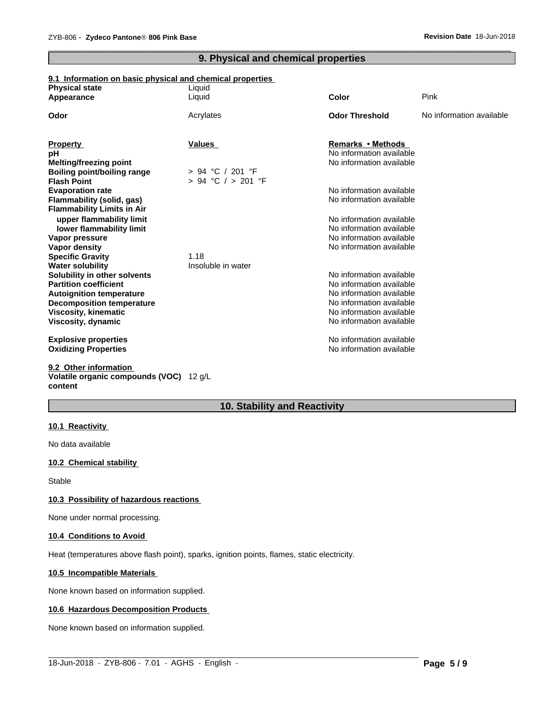# **9. Physical and chemical properties**

 $\overline{\phantom{a}}$  ,  $\overline{\phantom{a}}$  ,  $\overline{\phantom{a}}$  ,  $\overline{\phantom{a}}$  ,  $\overline{\phantom{a}}$  ,  $\overline{\phantom{a}}$  ,  $\overline{\phantom{a}}$  ,  $\overline{\phantom{a}}$  ,  $\overline{\phantom{a}}$  ,  $\overline{\phantom{a}}$  ,  $\overline{\phantom{a}}$  ,  $\overline{\phantom{a}}$  ,  $\overline{\phantom{a}}$  ,  $\overline{\phantom{a}}$  ,  $\overline{\phantom{a}}$  ,  $\overline{\phantom{a}}$ 

### **9.1 Information on basic physical and chemical properties**

| <b>Physical state</b>              | Liquid                 |                          |                          |
|------------------------------------|------------------------|--------------------------|--------------------------|
| Appearance                         | Liquid                 | Color                    | Pink                     |
| Odor                               | Acrylates              | <b>Odor Threshold</b>    | No information available |
|                                    |                        |                          |                          |
| <b>Property</b>                    | Values                 | Remarks • Methods        |                          |
| рH                                 |                        | No information available |                          |
| <b>Melting/freezing point</b>      |                        | No information available |                          |
| <b>Boiling point/boiling range</b> | > 94 °C / 201 °F       |                          |                          |
| <b>Flash Point</b>                 | $> 94$ °C $/ > 201$ °F |                          |                          |
| <b>Evaporation rate</b>            |                        | No information available |                          |
| Flammability (solid, gas)          |                        | No information available |                          |
| <b>Flammability Limits in Air</b>  |                        |                          |                          |
| upper flammability limit           |                        | No information available |                          |
| lower flammability limit           |                        | No information available |                          |
| Vapor pressure                     |                        | No information available |                          |
| Vapor density                      |                        | No information available |                          |
| <b>Specific Gravity</b>            | 1.18                   |                          |                          |
| <b>Water solubility</b>            | Insoluble in water     |                          |                          |
| Solubility in other solvents       |                        | No information available |                          |
| <b>Partition coefficient</b>       |                        | No information available |                          |
| <b>Autoignition temperature</b>    |                        | No information available |                          |
| <b>Decomposition temperature</b>   |                        | No information available |                          |
| <b>Viscosity, kinematic</b>        |                        | No information available |                          |
| Viscosity, dynamic                 |                        | No information available |                          |
| <b>Explosive properties</b>        |                        | No information available |                          |
| <b>Oxidizing Properties</b>        |                        | No information available |                          |
| 9.2 Other information              |                        |                          |                          |

#### **Volatile organic compounds (VOC)** 12 g/L **content**

# **10. Stability and Reactivity**

#### **10.1 Reactivity**

No data available

#### **10.2 Chemical stability**

Stable

#### **10.3 Possibility of hazardous reactions**

None under normal processing.

#### **10.4 Conditions to Avoid**

Heat (temperatures above flash point), sparks, ignition points, flames, static electricity.

#### **10.5 Incompatible Materials**

None known based on information supplied.

#### **10.6 Hazardous Decomposition Products**

None known based on information supplied.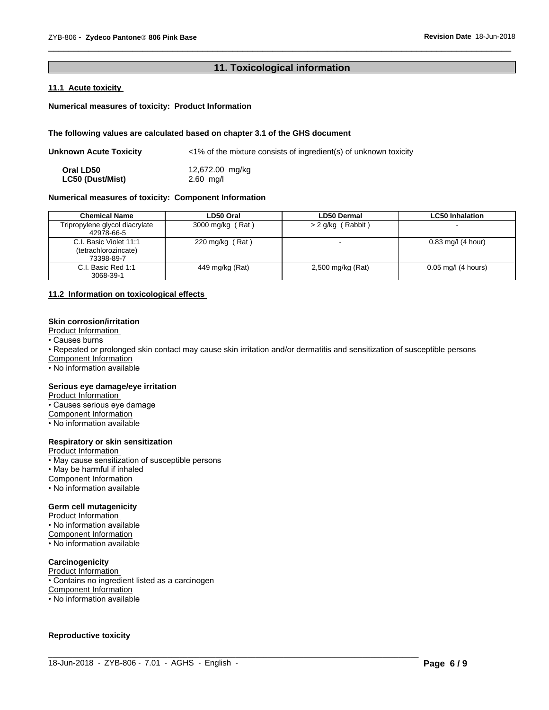# **11. Toxicological information**

 $\overline{\phantom{a}}$  ,  $\overline{\phantom{a}}$  ,  $\overline{\phantom{a}}$  ,  $\overline{\phantom{a}}$  ,  $\overline{\phantom{a}}$  ,  $\overline{\phantom{a}}$  ,  $\overline{\phantom{a}}$  ,  $\overline{\phantom{a}}$  ,  $\overline{\phantom{a}}$  ,  $\overline{\phantom{a}}$  ,  $\overline{\phantom{a}}$  ,  $\overline{\phantom{a}}$  ,  $\overline{\phantom{a}}$  ,  $\overline{\phantom{a}}$  ,  $\overline{\phantom{a}}$  ,  $\overline{\phantom{a}}$ 

#### **11.1 Acute toxicity**

#### **Numerical measures of toxicity: Product Information**

#### **The following values are calculated based on chapter 3.1 of the GHS document**

| Unknown Acute Toxicity  | $\langle$ 1% of the mixture consists of ingredient(s) of unknown toxicity |
|-------------------------|---------------------------------------------------------------------------|
| Oral LD50               | 12,672.00 mg/kg                                                           |
| <b>LC50 (Dust/Mist)</b> | $2.60$ mg/l                                                               |

#### **Numerical measures of toxicity: Component Information**

| <b>Chemical Name</b>                                         | LD50 Oral        | <b>LD50 Dermal</b>       | <b>LC50 Inhalation</b> |
|--------------------------------------------------------------|------------------|--------------------------|------------------------|
| Tripropylene glycol diacrylate<br>42978-66-5                 | 3000 mg/kg (Rat) | (Rabbit)<br>$> 2$ g/kg ( |                        |
| C.I. Basic Violet 11:1<br>(tetrachlorozincate)<br>73398-89-7 | 220 mg/kg (Rat)  |                          | $0.83$ mg/l (4 hour)   |
| C.I. Basic Red 1:1<br>3068-39-1                              | 449 mg/kg (Rat)  | 2,500 mg/kg (Rat)        | $0.05$ mg/l (4 hours)  |

#### **11.2 Information on toxicologicaleffects**

#### **Skin corrosion/irritation**

Product Information

• Causes burns

• Repeated or prolonged skin contact may cause skin irritation and/or dermatitis and sensitization of susceptible persons

 $\_$  ,  $\_$  ,  $\_$  ,  $\_$  ,  $\_$  ,  $\_$  ,  $\_$  ,  $\_$  ,  $\_$  ,  $\_$  ,  $\_$  ,  $\_$  ,  $\_$  ,  $\_$  ,  $\_$  ,  $\_$  ,  $\_$  ,  $\_$  ,  $\_$  ,  $\_$  ,  $\_$  ,  $\_$  ,  $\_$  ,  $\_$  ,  $\_$  ,  $\_$  ,  $\_$  ,  $\_$  ,  $\_$  ,  $\_$  ,  $\_$  ,  $\_$  ,  $\_$  ,  $\_$  ,  $\_$  ,  $\_$  ,  $\_$  ,

Component Information

• No information available

#### **Serious eye damage/eye irritation**

**Product Information** 

• Causes serious eye damage

Component Information

• No information available

#### **Respiratory or skin sensitization**

Product Information

• May cause sensitization of susceptible persons

• May be harmful if inhaled

Component Information

• No information available

#### **Germ cell mutagenicity**

Product Information

• No information available

Component Information

• No information available

# **Carcinogenicity**

Product Information

• Contains no ingredient listed as a carcinogen

Component Information

• No information available

#### **Reproductive toxicity**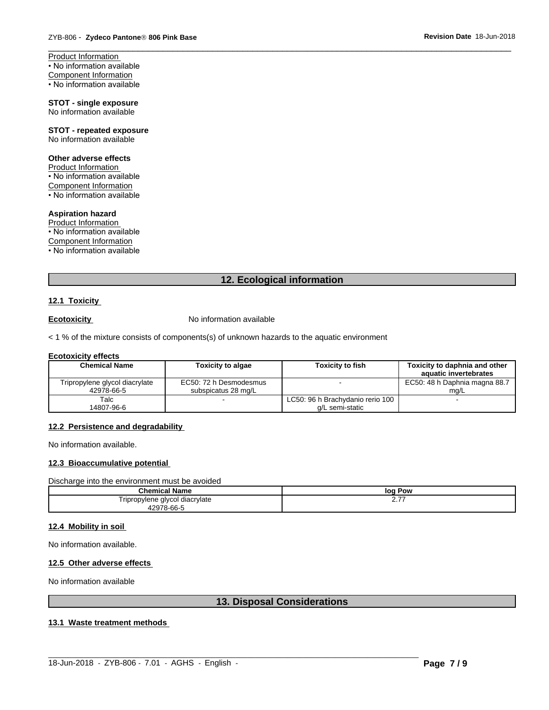Product Information • No information available Component Information • No information available

#### **STOT - single exposure** No information available

**STOT - repeated exposure** No information available

#### **Other adverse effects**

Product Information • No information available Component Information  $\cdot$  No information available

# **Aspiration hazard**

Product Information • No information available Component Information • No information available

# **12. Ecological information**

 $\overline{\phantom{a}}$  ,  $\overline{\phantom{a}}$  ,  $\overline{\phantom{a}}$  ,  $\overline{\phantom{a}}$  ,  $\overline{\phantom{a}}$  ,  $\overline{\phantom{a}}$  ,  $\overline{\phantom{a}}$  ,  $\overline{\phantom{a}}$  ,  $\overline{\phantom{a}}$  ,  $\overline{\phantom{a}}$  ,  $\overline{\phantom{a}}$  ,  $\overline{\phantom{a}}$  ,  $\overline{\phantom{a}}$  ,  $\overline{\phantom{a}}$  ,  $\overline{\phantom{a}}$  ,  $\overline{\phantom{a}}$ 

#### **12.1 Toxicity**

**Ecotoxicity No information available** 

 $<$  1 % of the mixture consists of components(s) of unknown hazards to the aquatic environment

#### **Ecotoxicity effects**

| <b>Chemical Name</b>           | <b>Toxicity to algae</b> | <b>Toxicity to fish</b>          | Toxicity to daphnia and other<br>aquatic invertebrates |
|--------------------------------|--------------------------|----------------------------------|--------------------------------------------------------|
|                                |                          |                                  |                                                        |
| Tripropylene glycol diacrylate | EC50: 72 h Desmodesmus   |                                  | EC50: 48 h Daphnia magna 88.7                          |
| 42978-66-5                     | subspicatus 28 mg/L      |                                  | ma/L                                                   |
| Talc                           | $\overline{\phantom{a}}$ | LC50: 96 h Brachydanio rerio 100 |                                                        |
| 14807-96-6                     |                          | a/L semi-static                  |                                                        |

#### **12.2 Persistence and degradability**

No information available.

#### **12.3 Bioaccumulative potential**

Discharge into the environment must be avoided

| <b>Chemical Name</b>           | Pow<br>loq    |
|--------------------------------|---------------|
| Tripropylene glycol diacrylate | --<br><u></u> |
| 42978-66-5<br>479              |               |

#### **12.4 Mobility in soil**

No information available.

#### **12.5 Other adverse effects**

No information available

# **13. Disposal Considerations**

 $\_$  ,  $\_$  ,  $\_$  ,  $\_$  ,  $\_$  ,  $\_$  ,  $\_$  ,  $\_$  ,  $\_$  ,  $\_$  ,  $\_$  ,  $\_$  ,  $\_$  ,  $\_$  ,  $\_$  ,  $\_$  ,  $\_$  ,  $\_$  ,  $\_$  ,  $\_$  ,  $\_$  ,  $\_$  ,  $\_$  ,  $\_$  ,  $\_$  ,  $\_$  ,  $\_$  ,  $\_$  ,  $\_$  ,  $\_$  ,  $\_$  ,  $\_$  ,  $\_$  ,  $\_$  ,  $\_$  ,  $\_$  ,  $\_$  ,

#### **13.1 Waste treatment methods**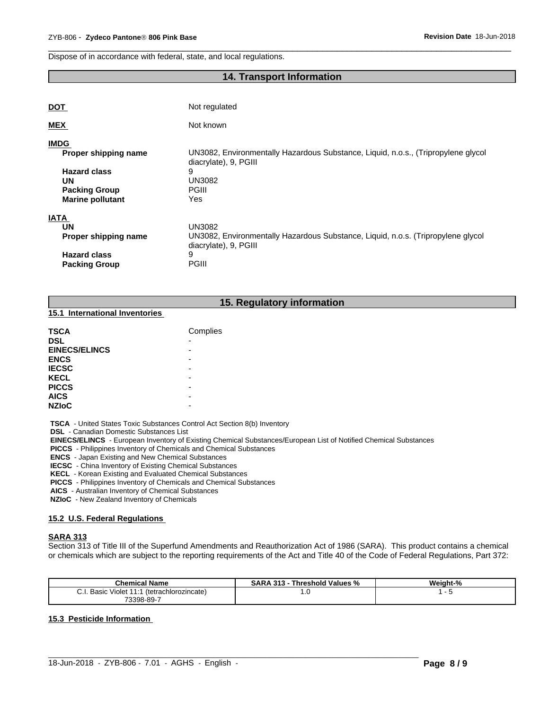Dispose of in accordance with federal, state, and local regulations.

# **14. Transport Information**

 $\overline{\phantom{a}}$  ,  $\overline{\phantom{a}}$  ,  $\overline{\phantom{a}}$  ,  $\overline{\phantom{a}}$  ,  $\overline{\phantom{a}}$  ,  $\overline{\phantom{a}}$  ,  $\overline{\phantom{a}}$  ,  $\overline{\phantom{a}}$  ,  $\overline{\phantom{a}}$  ,  $\overline{\phantom{a}}$  ,  $\overline{\phantom{a}}$  ,  $\overline{\phantom{a}}$  ,  $\overline{\phantom{a}}$  ,  $\overline{\phantom{a}}$  ,  $\overline{\phantom{a}}$  ,  $\overline{\phantom{a}}$ 

| <b>DOT</b>              | Not regulated                                                                                              |
|-------------------------|------------------------------------------------------------------------------------------------------------|
| <b>MEX</b>              | Not known                                                                                                  |
| <b>IMDG</b>             |                                                                                                            |
| Proper shipping name    | UN3082, Environmentally Hazardous Substance, Liquid, n.o.s., (Tripropylene glycol<br>diacrylate), 9, PGIII |
| <b>Hazard class</b>     | 9                                                                                                          |
| UN                      | UN3082                                                                                                     |
| <b>Packing Group</b>    | <b>PGIII</b>                                                                                               |
| <b>Marine pollutant</b> | Yes                                                                                                        |
| <b>IATA</b>             |                                                                                                            |
| <b>UN</b>               | <b>UN3082</b>                                                                                              |
| Proper shipping name    | UN3082, Environmentally Hazardous Substance, Liquid, n.o.s. (Tripropylene glycol<br>diacrylate), 9, PGIII  |
| <b>Hazard class</b>     | 9                                                                                                          |
| <b>Packing Group</b>    | <b>PGIII</b>                                                                                               |

#### **15. Regulatory information**

#### **15.1 International Inventories**

| <b>TSCA</b>          | Complies                 |
|----------------------|--------------------------|
| <b>DSL</b>           | $\overline{\phantom{0}}$ |
| <b>EINECS/ELINCS</b> | -                        |
| <b>ENCS</b>          |                          |
| <b>IECSC</b>         |                          |
| <b>KECL</b>          | -                        |
| <b>PICCS</b>         |                          |
| <b>AICS</b>          |                          |
| <b>NZIoC</b>         | -                        |

 **TSCA** - United States Toxic Substances Control Act Section 8(b) Inventory

 **DSL** - Canadian Domestic Substances List

 **EINECS/ELINCS** - European Inventory of Existing Chemical Substances/European List of Notified Chemical Substances

 **PICCS** - Philippines Inventory of Chemicals and Chemical Substances

 **ENCS** - Japan Existing and New Chemical Substances

 **IECSC** - China Inventory of Existing Chemical Substances

 **KECL** - Korean Existing and Evaluated Chemical Substances

 **PICCS** - Philippines Inventory of Chemicals and Chemical Substances

 **AICS** - Australian Inventory of Chemical Substances

 **NZIoC** - New Zealand Inventory of Chemicals

#### **15.2 U.S. Federal Regulations**

#### **SARA 313**

Section 313 of Title III of the Superfund Amendments and Reauthorization Act of 1986 (SARA). This product contains a chemical or chemicals which are subject to the reporting requirements of the Act and Title 40 of the Code of Federal Regulations, Part 372:

| <b>Chemical Name</b>                                                            | <b>SARA 313</b><br>Threshold Values % | Weight-% |
|---------------------------------------------------------------------------------|---------------------------------------|----------|
| $\sim$ uəlü Violet 1114 $^{\prime\prime}$<br>Basic<br>(tetrachlorozincate)<br>◡ | . ن                                   |          |
| 73398-89-7                                                                      |                                       |          |

 $\_$  ,  $\_$  ,  $\_$  ,  $\_$  ,  $\_$  ,  $\_$  ,  $\_$  ,  $\_$  ,  $\_$  ,  $\_$  ,  $\_$  ,  $\_$  ,  $\_$  ,  $\_$  ,  $\_$  ,  $\_$  ,  $\_$  ,  $\_$  ,  $\_$  ,  $\_$  ,  $\_$  ,  $\_$  ,  $\_$  ,  $\_$  ,  $\_$  ,  $\_$  ,  $\_$  ,  $\_$  ,  $\_$  ,  $\_$  ,  $\_$  ,  $\_$  ,  $\_$  ,  $\_$  ,  $\_$  ,  $\_$  ,  $\_$  ,

#### **15.3 Pesticide Information**